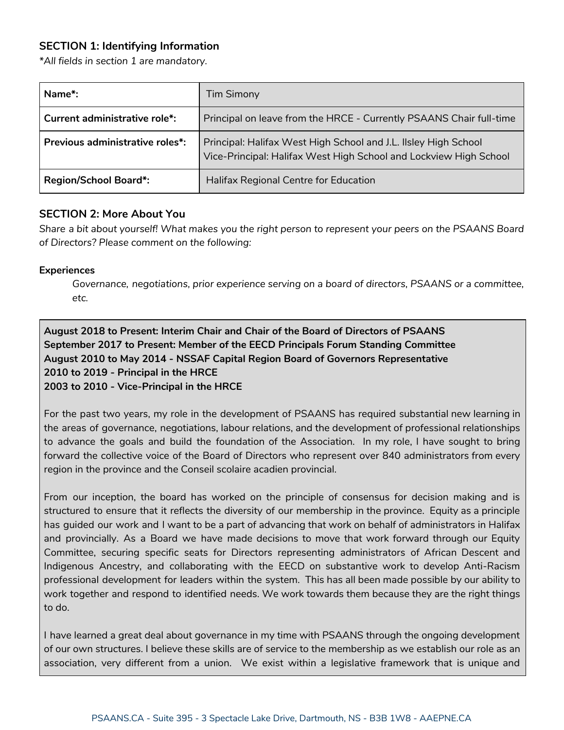## **SECTION 1: Identifying Information**

*\*All fields in section 1 are mandatory.*

| Name*:                          | <b>Tim Simony</b>                                                                                                                    |
|---------------------------------|--------------------------------------------------------------------------------------------------------------------------------------|
| Current administrative role*:   | Principal on leave from the HRCE - Currently PSAANS Chair full-time                                                                  |
| Previous administrative roles*: | Principal: Halifax West High School and J.L. IIsley High School<br>Vice-Principal: Halifax West High School and Lockview High School |
| <b>Region/School Board*:</b>    | Halifax Regional Centre for Education                                                                                                |

## **SECTION 2: More About You**

Share a bit about yourself! What makes you the right person to represent your peers on the PSAANS Board *of Directors? Please comment on the following:*

## **Experiences**

*Governance, negotiations, prior experience serving on a board of directors, PSAANS or a committee, etc.*

# **August 2018 to Present: Interim Chair and Chair of the Board of Directors of PSAANS September 2017 to Present: Member of the EECD Principals Forum Standing Committee August 2010 to May 2014 - NSSAF Capital Region Board of Governors Representative 2010 to 2019 - Principal in the HRCE 2003 to 2010 - Vice-Principal in the HRCE**

For the past two years, my role in the development of PSAANS has required substantial new learning in the areas of governance, negotiations, labour relations, and the development of professional relationships to advance the goals and build the foundation of the Association. In my role, I have sought to bring forward the collective voice of the Board of Directors who represent over 840 administrators from every region in the province and the Conseil scolaire acadien provincial.

From our inception, the board has worked on the principle of consensus for decision making and is structured to ensure that it reflects the diversity of our membership in the province. Equity as a principle has guided our work and I want to be a part of advancing that work on behalf of administrators in Halifax and provincially. As a Board we have made decisions to move that work forward through our Equity Committee, securing specific seats for Directors representing administrators of African Descent and Indigenous Ancestry, and collaborating with the EECD on substantive work to develop Anti-Racism professional development for leaders within the system. This has all been made possible by our ability to work together and respond to identified needs. We work towards them because they are the right things to do.

I have learned a great deal about governance in my time with PSAANS through the ongoing development of our own structures. I believe these skills are of service to the membership as we establish our role as an association, very different from a union. We exist within a legislative framework that is unique and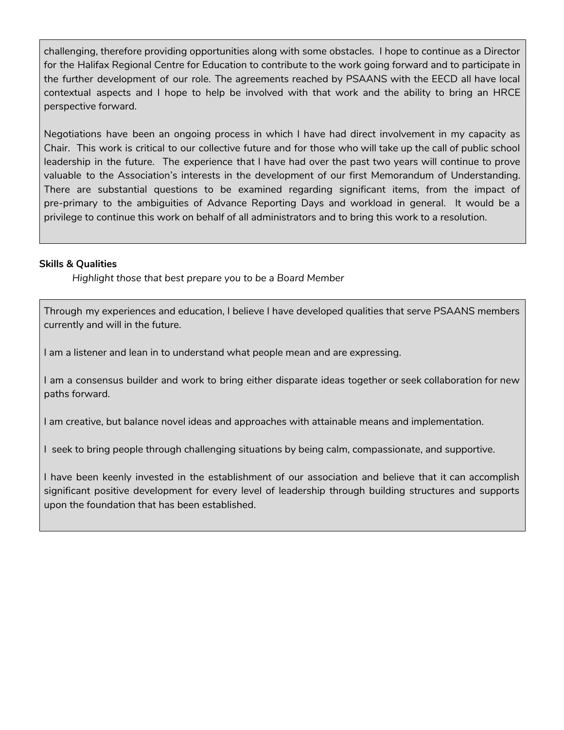challenging, therefore providing opportunities along with some obstacles. I hope to continue as a Director for the Halifax Regional Centre for Education to contribute to the work going forward and to participate in the further development of our role. The agreements reached by PSAANS with the EECD all have local contextual aspects and I hope to help be involved with that work and the ability to bring an HRCE perspective forward.

Negotiations have been an ongoing process in which I have had direct involvement in my capacity as Chair. This work is critical to our collective future and for those who will take up the call of public school leadership in the future. The experience that I have had over the past two years will continue to prove valuable to the Association's interests in the development of our first Memorandum of Understanding. There are substantial questions to be examined regarding significant items, from the impact of pre-primary to the ambiguities of Advance Reporting Days and workload in general. It would be a privilege to continue this work on behalf of all administrators and to bring this work to a resolution.

## **Skills & Qualities**

*Highlight those that best prepare you to be a Board Member*

Through my experiences and education, I believe I have developed qualities that serve PSAANS members currently and will in the future.

I am a listener and lean in to understand what people mean and are expressing.

I am a consensus builder and work to bring either disparate ideas together or seek collaboration for new paths forward.

I am creative, but balance novel ideas and approaches with attainable means and implementation.

I seek to bring people through challenging situations by being calm, compassionate, and supportive.

I have been keenly invested in the establishment of our association and believe that it can accomplish significant positive development for every level of leadership through building structures and supports upon the foundation that has been established.